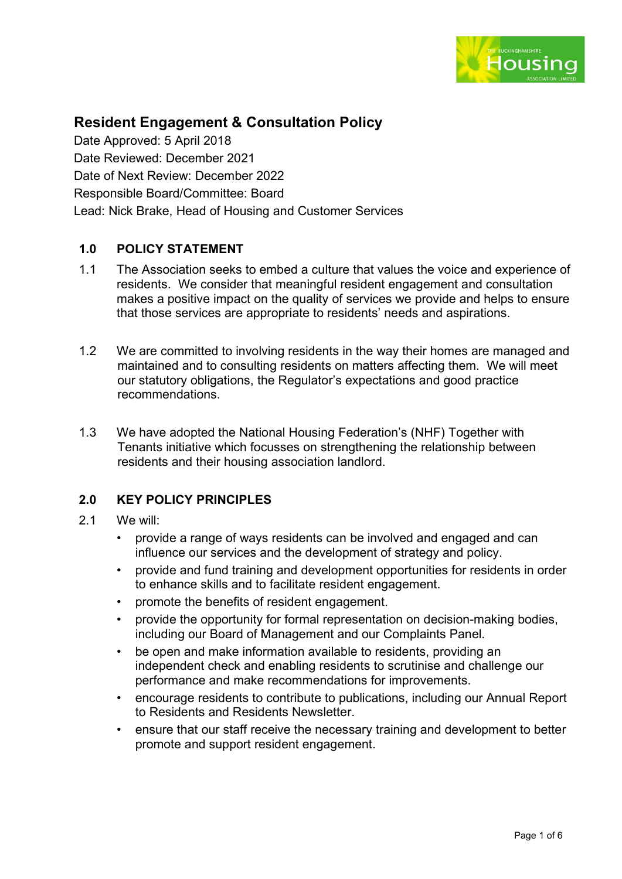

# **Resident Engagement & Consultation Policy**

Date Approved: 5 April 2018 Date Reviewed: December 2021 Date of Next Review: December 2022 Responsible Board/Committee: Board Lead: Nick Brake, Head of Housing and Customer Services

## **1.0 POLICY STATEMENT**

- 1.1 The Association seeks to embed a culture that values the voice and experience of residents. We consider that meaningful resident engagement and consultation makes a positive impact on the quality of services we provide and helps to ensure that those services are appropriate to residents' needs and aspirations.
- 1.2 We are committed to involving residents in the way their homes are managed and maintained and to consulting residents on matters affecting them. We will meet our statutory obligations, the Regulator's expectations and good practice recommendations.
- 1.3 We have adopted the National Housing Federation's (NHF) Together with Tenants initiative which focusses on strengthening the relationship between residents and their housing association landlord.

## **2.0 KEY POLICY PRINCIPLES**

- 2.1 We will:
	- provide a range of ways residents can be involved and engaged and can influence our services and the development of strategy and policy.
	- provide and fund training and development opportunities for residents in order to enhance skills and to facilitate resident engagement.
	- promote the benefits of resident engagement.
	- provide the opportunity for formal representation on decision-making bodies, including our Board of Management and our Complaints Panel.
	- be open and make information available to residents, providing an independent check and enabling residents to scrutinise and challenge our performance and make recommendations for improvements.
	- encourage residents to contribute to publications, including our Annual Report to Residents and Residents Newsletter.
	- ensure that our staff receive the necessary training and development to better promote and support resident engagement.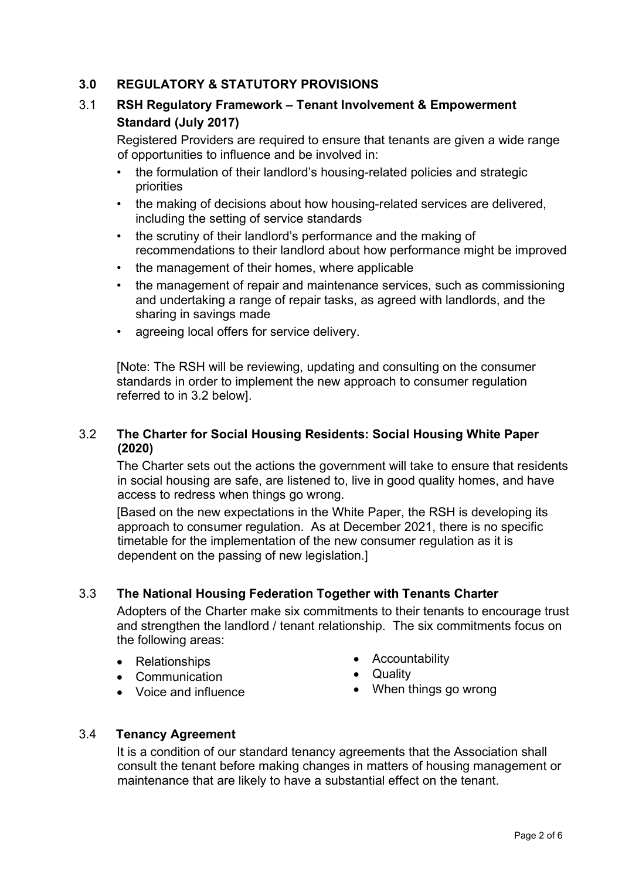## **3.0 REGULATORY & STATUTORY PROVISIONS**

## 3.1 **RSH Regulatory Framework – Tenant Involvement & Empowerment Standard (July 2017)**

Registered Providers are required to ensure that tenants are given a wide range of opportunities to influence and be involved in:

- the formulation of their landlord's housing-related policies and strategic priorities
- the making of decisions about how housing-related services are delivered, including the setting of service standards
- the scrutiny of their landlord's performance and the making of recommendations to their landlord about how performance might be improved
- the management of their homes, where applicable
- the management of repair and maintenance services, such as commissioning and undertaking a range of repair tasks, as agreed with landlords, and the sharing in savings made
- agreeing local offers for service delivery.

[Note: The RSH will be reviewing, updating and consulting on the consumer standards in order to implement the new approach to consumer regulation referred to in 3.2 below].

## 3.2 **The Charter for Social Housing Residents: Social Housing White Paper (2020)**

The Charter sets out the actions the government will take to ensure that residents in social housing are safe, are listened to, live in good quality homes, and have access to redress when things go wrong.

[Based on the new expectations in the White Paper, the RSH is developing its approach to consumer regulation. As at December 2021, there is no specific timetable for the implementation of the new consumer regulation as it is dependent on the passing of new legislation.]

## 3.3 **The National Housing Federation Together with Tenants Charter**

Adopters of the Charter make six commitments to their tenants to encourage trust and strengthen the landlord / tenant relationship. The six commitments focus on the following areas:

- Relationships
- Communication
- Voice and influence
- Accountability
- Quality
- When things go wrong

## 3.4 **Tenancy Agreement**

It is a condition of our standard tenancy agreements that the Association shall consult the tenant before making changes in matters of housing management or maintenance that are likely to have a substantial effect on the tenant.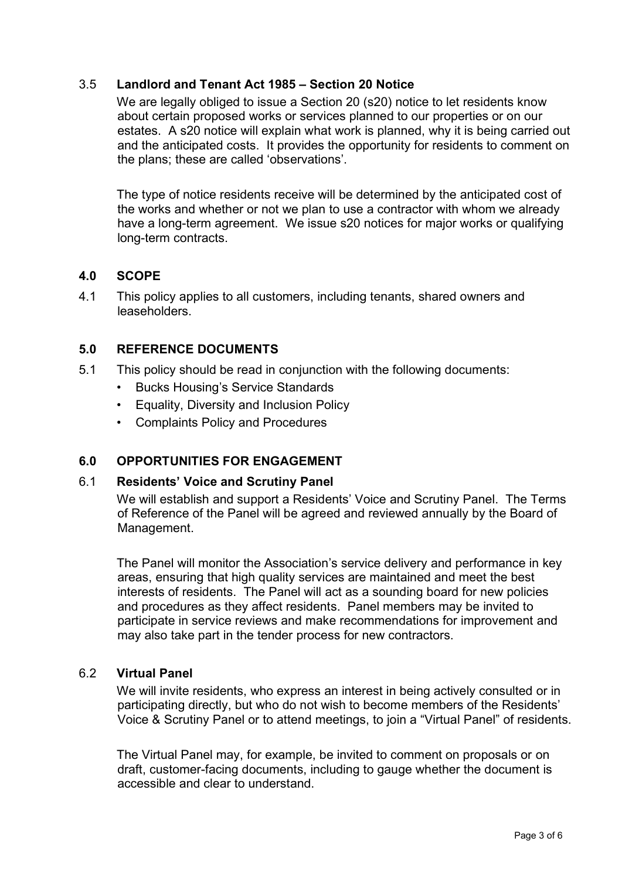## 3.5 **Landlord and Tenant Act 1985 – Section 20 Notice**

We are legally obliged to issue a Section 20 (s20) notice to let residents know about certain proposed works or services planned to our properties or on our estates. A s20 notice will explain what work is planned, why it is being carried out and the anticipated costs. It provides the opportunity for residents to comment on the plans; these are called 'observations'.

The type of notice residents receive will be determined by the anticipated cost of the works and whether or not we plan to use a contractor with whom we already have a long-term agreement. We issue s20 notices for major works or qualifying long-term contracts.

## **4.0 SCOPE**

4.1 This policy applies to all customers, including tenants, shared owners and leaseholders.

## **5.0 REFERENCE DOCUMENTS**

- 5.1 This policy should be read in conjunction with the following documents:
	- Bucks Housing's Service Standards
	- Equality, Diversity and Inclusion Policy
	- Complaints Policy and Procedures

## **6.0 OPPORTUNITIES FOR ENGAGEMENT**

## 6.1 **Residents' Voice and Scrutiny Panel**

We will establish and support a Residents' Voice and Scrutiny Panel. The Terms of Reference of the Panel will be agreed and reviewed annually by the Board of Management.

The Panel will monitor the Association's service delivery and performance in key areas, ensuring that high quality services are maintained and meet the best interests of residents. The Panel will act as a sounding board for new policies and procedures as they affect residents. Panel members may be invited to participate in service reviews and make recommendations for improvement and may also take part in the tender process for new contractors.

## 6.2 **Virtual Panel**

We will invite residents, who express an interest in being actively consulted or in participating directly, but who do not wish to become members of the Residents' Voice & Scrutiny Panel or to attend meetings, to join a "Virtual Panel" of residents.

The Virtual Panel may, for example, be invited to comment on proposals or on draft, customer-facing documents, including to gauge whether the document is accessible and clear to understand.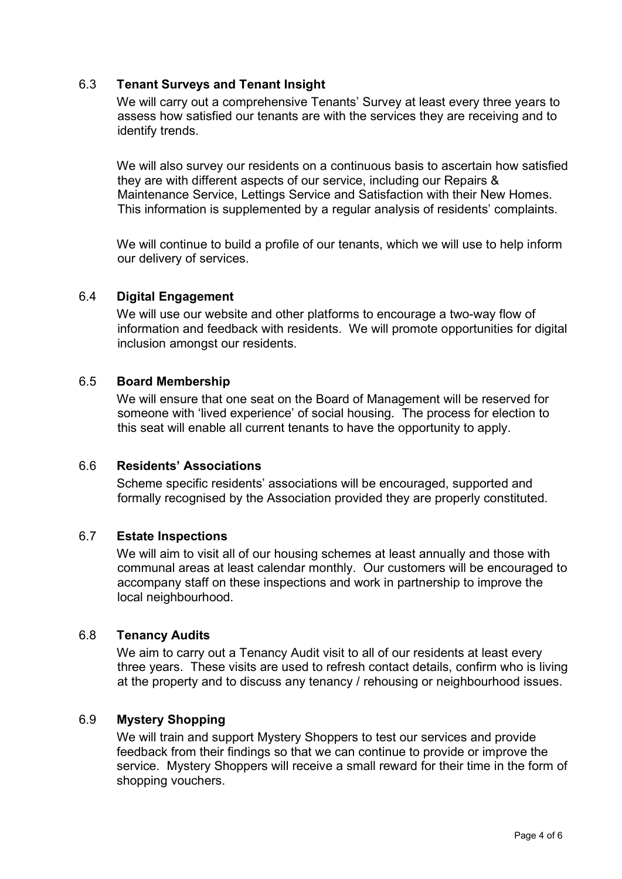## 6.3 **Tenant Surveys and Tenant Insight**

We will carry out a comprehensive Tenants' Survey at least every three years to assess how satisfied our tenants are with the services they are receiving and to identify trends.

We will also survey our residents on a continuous basis to ascertain how satisfied they are with different aspects of our service, including our Repairs & Maintenance Service, Lettings Service and Satisfaction with their New Homes. This information is supplemented by a regular analysis of residents' complaints.

We will continue to build a profile of our tenants, which we will use to help inform our delivery of services.

#### 6.4 **Digital Engagement**

We will use our website and other platforms to encourage a two-way flow of information and feedback with residents. We will promote opportunities for digital inclusion amongst our residents.

#### 6.5 **Board Membership**

We will ensure that one seat on the Board of Management will be reserved for someone with 'lived experience' of social housing. The process for election to this seat will enable all current tenants to have the opportunity to apply.

## 6.6 **Residents' Associations**

Scheme specific residents' associations will be encouraged, supported and formally recognised by the Association provided they are properly constituted.

#### 6.7 **Estate Inspections**

We will aim to visit all of our housing schemes at least annually and those with communal areas at least calendar monthly. Our customers will be encouraged to accompany staff on these inspections and work in partnership to improve the local neighbourhood.

#### 6.8 **Tenancy Audits**

We aim to carry out a Tenancy Audit visit to all of our residents at least every three years. These visits are used to refresh contact details, confirm who is living at the property and to discuss any tenancy / rehousing or neighbourhood issues.

### 6.9 **Mystery Shopping**

We will train and support Mystery Shoppers to test our services and provide feedback from their findings so that we can continue to provide or improve the service. Mystery Shoppers will receive a small reward for their time in the form of shopping vouchers.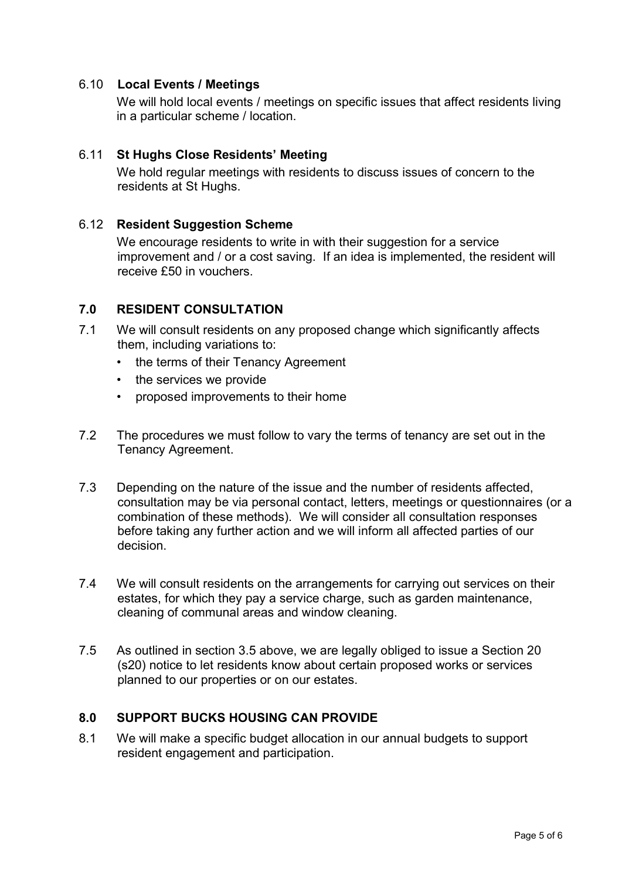## 6.10 **Local Events / Meetings**

We will hold local events / meetings on specific issues that affect residents living in a particular scheme / location.

## 6.11 **St Hughs Close Residents' Meeting**

We hold regular meetings with residents to discuss issues of concern to the residents at St Hughs.

#### 6.12 **Resident Suggestion Scheme**

We encourage residents to write in with their suggestion for a service improvement and / or a cost saving. If an idea is implemented, the resident will receive £50 in vouchers.

## **7.0 RESIDENT CONSULTATION**

- 7.1 We will consult residents on any proposed change which significantly affects them, including variations to:
	- the terms of their Tenancy Agreement
	- the services we provide
	- proposed improvements to their home
- 7.2 The procedures we must follow to vary the terms of tenancy are set out in the Tenancy Agreement.
- 7.3 Depending on the nature of the issue and the number of residents affected, consultation may be via personal contact, letters, meetings or questionnaires (or a combination of these methods). We will consider all consultation responses before taking any further action and we will inform all affected parties of our decision.
- 7.4 We will consult residents on the arrangements for carrying out services on their estates, for which they pay a service charge, such as garden maintenance, cleaning of communal areas and window cleaning.
- 7.5 As outlined in section 3.5 above, we are legally obliged to issue a Section 20 (s20) notice to let residents know about certain proposed works or services planned to our properties or on our estates.

#### **8.0 SUPPORT BUCKS HOUSING CAN PROVIDE**

8.1 We will make a specific budget allocation in our annual budgets to support resident engagement and participation.